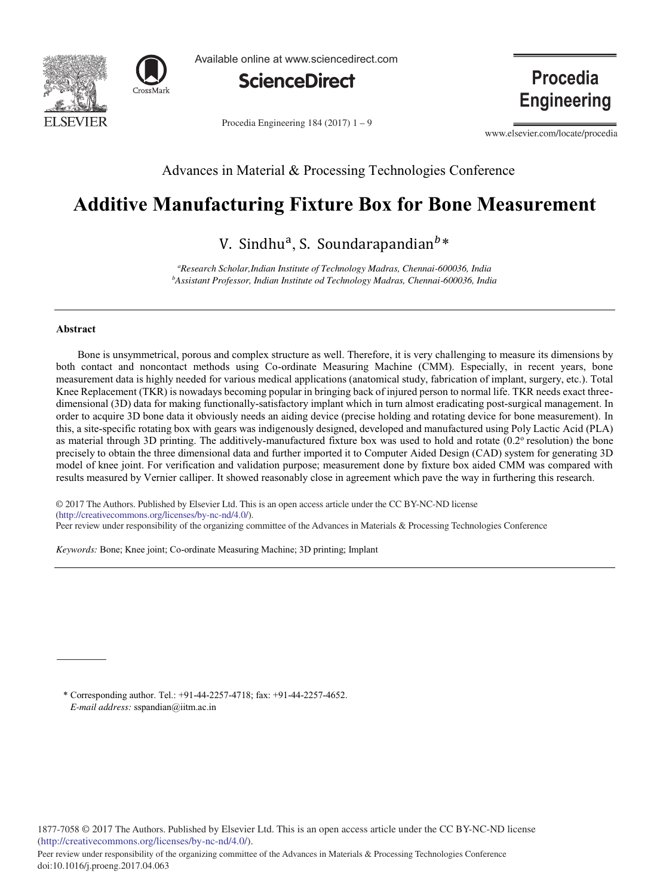



Available online at www.sciencedirect.com



Procedia Engineering 184 (2017)  $1 - 9$ 

**Engineering** 

**Procedia** 

www.elsevier.com/locate/procedia

Advances in Material & Processing Technologies Conference

# **Additive Manufacturing Fixture Box for Bone Measurement**

V. Sindhu<sup>a</sup>, S. Soundarapandian<sup>b\*</sup>

*a Research Scholar,Indian Institute of Technology Madras, Chennai-600036, India b Assistant Professor, Indian Institute od Technology Madras, Chennai-600036, India*

### **Abstract**

Bone is unsymmetrical, porous and complex structure as well. Therefore, it is very challenging to measure its dimensions by both contact and noncontact methods using Co-ordinate Measuring Machine (CMM). Especially, in recent years, bone measurement data is highly needed for various medical applications (anatomical study, fabrication of implant, surgery, etc.). Total Knee Replacement (TKR) is nowadays becoming popular in bringing back of injured person to normal life. TKR needs exact threedimensional (3D) data for making functionally-satisfactory implant which in turn almost eradicating post-surgical management. In order to acquire 3D bone data it obviously needs an aiding device (precise holding and rotating device for bone measurement). In this, a site-specific rotating box with gears was indigenously designed, developed and manufactured using Poly Lactic Acid (PLA) as material through 3D printing. The additively-manufactured fixture box was used to hold and rotate (0.2° resolution) the bone precisely to obtain the three dimensional data and further imported it to Computer Aided Design (CAD) system for generating 3D model of knee joint. For verification and validation purpose; measurement done by fixture box aided CMM was compared with results measured by Vernier calliper. It showed reasonably close in agreement which pave the way in furthering this research.

© 2017 The Authors. Published by Elsevier Ltd. © 2017 The Authors. Published by Elsevier Ltd. This is an open access article under the CC BY-NC-ND license Peer-review under responsibility of the organizing committee of the Advances in Material & Processing Technologies (http://creativecommons.org/licenses/by-nc-nd/4.0/). Peer review under responsibility of the organizing committee of the Advances in Materials & Processing Technologies Conference

*Keywords:* Bone; Knee joint; Co-ordinate Measuring Machine; 3D printing; Implant

\* Corresponding author. Tel.: +91-44-2257-4718; fax: +91-44-2257-4652. *E-mail address:* sspandian@iitm.ac.in

1877-7058 © 2017 The Authors. Published by Elsevier Ltd. This is an open access article under the CC BY-NC-ND license (http://creativecommons.org/licenses/by-nc-nd/4.0/).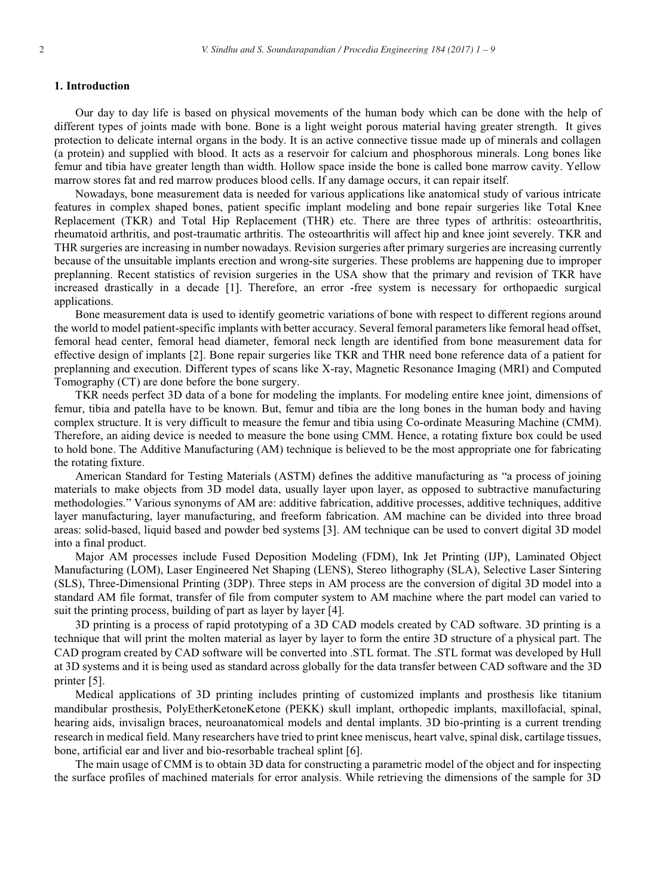#### **1. Introduction**

Our day to day life is based on physical movements of the human body which can be done with the help of different types of joints made with bone. Bone is a light weight porous material having greater strength. It gives protection to delicate internal organs in the body. It is an active connective tissue made up of minerals and collagen (a protein) and supplied with blood. It acts as a reservoir for calcium and phosphorous minerals. Long bones like femur and tibia have greater length than width. Hollow space inside the bone is called bone marrow cavity. Yellow marrow stores fat and red marrow produces blood cells. If any damage occurs, it can repair itself.

Nowadays, bone measurement data is needed for various applications like anatomical study of various intricate features in complex shaped bones, patient specific implant modeling and bone repair surgeries like Total Knee Replacement (TKR) and Total Hip Replacement (THR) etc. There are three types of arthritis: osteoarthritis, rheumatoid arthritis, and post-traumatic arthritis. The osteoarthritis will affect hip and knee joint severely. TKR and THR surgeries are increasing in number nowadays. Revision surgeries after primary surgeries are increasing currently because of the unsuitable implants erection and wrong-site surgeries. These problems are happening due to improper preplanning. Recent statistics of revision surgeries in the USA show that the primary and revision of TKR have increased drastically in a decade [1]. Therefore, an error -free system is necessary for orthopaedic surgical applications.

Bone measurement data is used to identify geometric variations of bone with respect to different regions around the world to model patient-specific implants with better accuracy. Several femoral parameters like femoral head offset, femoral head center, femoral head diameter, femoral neck length are identified from bone measurement data for effective design of implants [2]. Bone repair surgeries like TKR and THR need bone reference data of a patient for preplanning and execution. Different types of scans like X-ray, Magnetic Resonance Imaging (MRI) and Computed Tomography (CT) are done before the bone surgery.

TKR needs perfect 3D data of a bone for modeling the implants. For modeling entire knee joint, dimensions of femur, tibia and patella have to be known. But, femur and tibia are the long bones in the human body and having complex structure. It is very difficult to measure the femur and tibia using Co-ordinate Measuring Machine (CMM). Therefore, an aiding device is needed to measure the bone using CMM. Hence, a rotating fixture box could be used to hold bone. The Additive Manufacturing (AM) technique is believed to be the most appropriate one for fabricating the rotating fixture.

American Standard for Testing Materials (ASTM) defines the additive manufacturing as "a process of joining materials to make objects from 3D model data, usually layer upon layer, as opposed to subtractive manufacturing methodologies." Various synonyms of AM are: additive fabrication, additive processes, additive techniques, additive layer manufacturing, layer manufacturing, and freeform fabrication. AM machine can be divided into three broad areas: solid-based, liquid based and powder bed systems [3]. AM technique can be used to convert digital 3D model into a final product.

Major AM processes include Fused Deposition Modeling (FDM), Ink Jet Printing (IJP), Laminated Object Manufacturing (LOM), Laser Engineered Net Shaping (LENS), Stereo lithography (SLA), Selective Laser Sintering (SLS), Three-Dimensional Printing (3DP). Three steps in AM process are the conversion of digital 3D model into a standard AM file format, transfer of file from computer system to AM machine where the part model can varied to suit the printing process, building of part as layer by layer [4].

3D printing is a process of rapid prototyping of a 3D CAD models created by CAD software. 3D printing is a technique that will print the molten material as layer by layer to form the entire 3D structure of a physical part. The CAD program created by CAD software will be converted into .STL format. The .STL format was developed by Hull at 3D systems and it is being used as standard across globally for the data transfer between CAD software and the 3D printer [5].

Medical applications of 3D printing includes printing of customized implants and prosthesis like titanium mandibular prosthesis, PolyEtherKetoneKetone (PEKK) skull implant, orthopedic implants, maxillofacial, spinal, hearing aids, invisalign braces, neuroanatomical models and dental implants. 3D bio-printing is a current trending research in medical field. Many researchers have tried to print knee meniscus, heart valve, spinal disk, cartilage tissues, bone, artificial ear and liver and bio-resorbable tracheal splint [6].

The main usage of CMM is to obtain 3D data for constructing a parametric model of the object and for inspecting the surface profiles of machined materials for error analysis. While retrieving the dimensions of the sample for 3D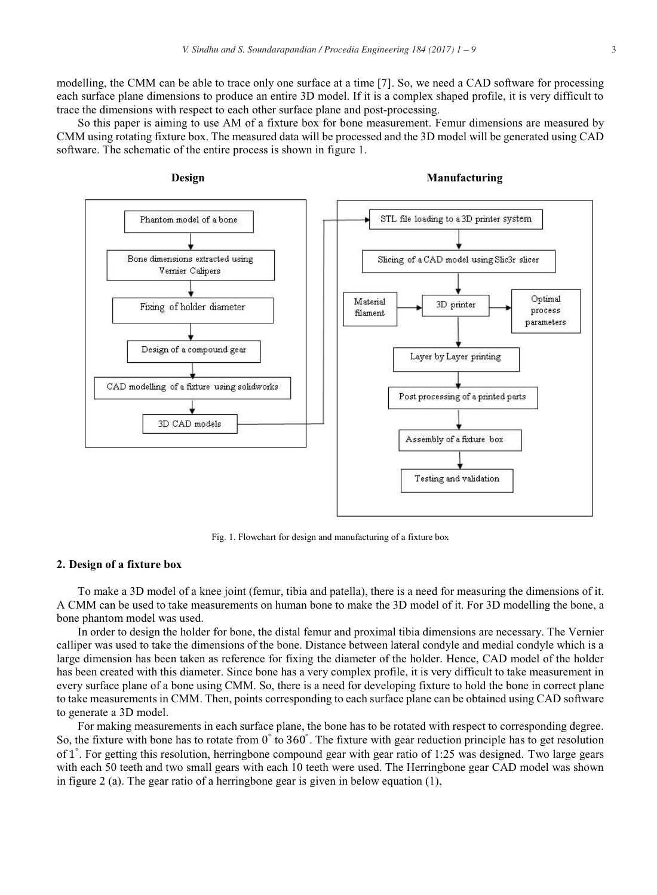modelling, the CMM can be able to trace only one surface at a time [7]. So, we need a CAD software for processing each surface plane dimensions to produce an entire 3D model. If it is a complex shaped profile, it is very difficult to trace the dimensions with respect to each other surface plane and post-processing.

So this paper is aiming to use AM of a fixture box for bone measurement. Femur dimensions are measured by CMM using rotating fixture box. The measured data will be processed and the 3D model will be generated using CAD software. The schematic of the entire process is shown in figure 1.



Fig. 1. Flowchart for design and manufacturing of a fixture box

### **2. Design of a fixture box**

To make a 3D model of a knee joint (femur, tibia and patella), there is a need for measuring the dimensions of it. A CMM can be used to take measurements on human bone to make the 3D model of it. For 3D modelling the bone, a bone phantom model was used.

In order to design the holder for bone, the distal femur and proximal tibia dimensions are necessary. The Vernier calliper was used to take the dimensions of the bone. Distance between lateral condyle and medial condyle which is a large dimension has been taken as reference for fixing the diameter of the holder. Hence, CAD model of the holder has been created with this diameter. Since bone has a very complex profile, it is very difficult to take measurement in every surface plane of a bone using CMM. So, there is a need for developing fixture to hold the bone in correct plane to take measurements in CMM. Then, points corresponding to each surface plane can be obtained using CAD software to generate a 3D model.

For making measurements in each surface plane, the bone has to be rotated with respect to corresponding degree. So, the fixture with bone has to rotate from  $0^\circ$  to  $360^\circ$ . The fixture with gear reduction principle has to get resolution of 1<sup>°</sup>. For getting this resolution, herringbone compound gear with gear ratio of 1:25 was designed. Two large gears with each 50 teeth and two small gears with each 10 teeth were used. The Herringbone gear CAD model was shown in figure 2 (a). The gear ratio of a herringbone gear is given in below equation (1),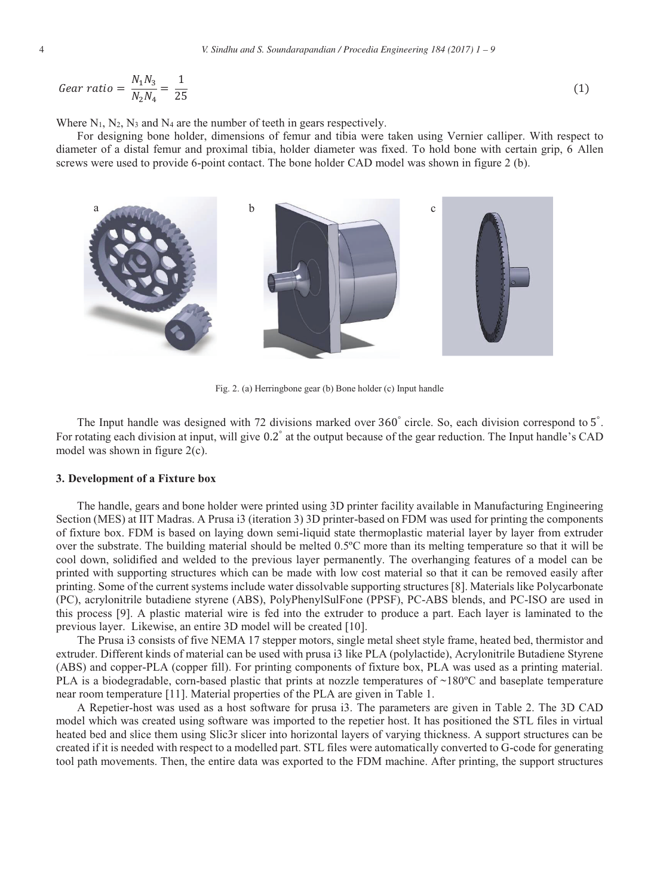$$
Gear ratio = \frac{N_1 N_3}{N_2 N_4} = \frac{1}{25}
$$
 (1)

$$
(1)
$$

Where  $N_1$ ,  $N_2$ ,  $N_3$  and  $N_4$  are the number of teeth in gears respectively.

For designing bone holder, dimensions of femur and tibia were taken using Vernier calliper. With respect to diameter of a distal femur and proximal tibia, holder diameter was fixed. To hold bone with certain grip, 6 Allen screws were used to provide 6-point contact. The bone holder CAD model was shown in figure 2 (b).



Fig. 2. (a) Herringbone gear (b) Bone holder (c) Input handle

The Input handle was designed with 72 divisions marked over 360° circle. So, each division correspond to 5°. For rotating each division at input, will give 0.2° at the output because of the gear reduction. The Input handle's CAD model was shown in figure 2(c).

#### **3. Development of a Fixture box**

The handle, gears and bone holder were printed using 3D printer facility available in Manufacturing Engineering Section (MES) at IIT Madras. A Prusa i3 (iteration 3) 3D printer-based on FDM was used for printing the components of fixture box. FDM is based on laying down semi-liquid state thermoplastic material layer by layer from extruder over the substrate. The building material should be melted 0.5ºC more than its melting temperature so that it will be cool down, solidified and welded to the previous layer permanently. The overhanging features of a model can be printed with supporting structures which can be made with low cost material so that it can be removed easily after printing. Some of the current systems include water dissolvable supporting structures [8]. Materials like Polycarbonate (PC), acrylonitrile butadiene styrene (ABS), PolyPhenylSulFone (PPSF), PC-ABS blends, and PC-ISO are used in this process [9]. A plastic material wire is fed into the extruder to produce a part. Each layer is laminated to the previous layer. Likewise, an entire 3D model will be created [10].

The Prusa i3 consists of five NEMA 17 stepper motors, single metal sheet style frame, heated bed, thermistor and extruder. Different kinds of material can be used with prusa i3 like PLA (polylactide), Acrylonitrile Butadiene Styrene (ABS) and copper-PLA (copper fill). For printing components of fixture box, PLA was used as a printing material. PLA is a biodegradable, corn-based plastic that prints at nozzle temperatures of ~180°C and baseplate temperature near room temperature [11]. Material properties of the PLA are given in Table 1.

A Repetier-host was used as a host software for prusa i3. The parameters are given in Table 2. The 3D CAD model which was created using software was imported to the repetier host. It has positioned the STL files in virtual heated bed and slice them using Slic3r slicer into horizontal layers of varying thickness. A support structures can be created if it is needed with respect to a modelled part. STL files were automatically converted to G-code for generating tool path movements. Then, the entire data was exported to the FDM machine. After printing, the support structures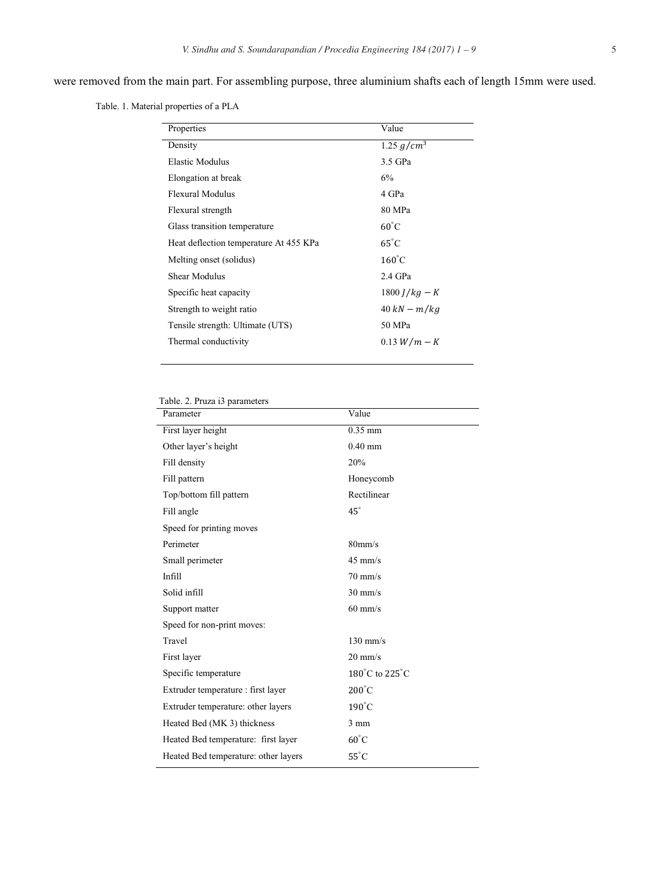were removed from the main part. For assembling purpose, three aluminium shafts each of length 15mm were used.

| Properties                             | Value           |
|----------------------------------------|-----------------|
| Density                                | 1.25 $g/cm^3$   |
| <b>Elastic Modulus</b>                 | 3.5 GPa         |
| Elongation at break                    | 6%              |
| Flexural Modulus                       | 4 GPa           |
| Flexural strength                      | 80 MPa          |
| Glass transition temperature           | $60^{\circ}$ C  |
| Heat deflection temperature At 455 KPa | $65^{\circ}$ C  |
| Melting onset (solidus)                | $160^{\circ}$ C |
| Shear Modulus                          | $2.4$ GPa       |
| Specific heat capacity                 | $1800 J/kg - K$ |
| Strength to weight ratio               | $40 kN - m/kg$  |
| Tensile strength: Ultimate (UTS)       | 50 MPa          |
| Thermal conductivity                   | $0.13 W/m - K$  |

# Table. 2. Pruza i3 parameters

| Parameter                            | Value              |
|--------------------------------------|--------------------|
| First layer height                   | $0.35$ mm          |
| Other layer's height                 | $0.40$ mm          |
| Fill density                         | 20%                |
| Fill pattern                         | Honeycomb          |
| Top/bottom fill pattern              | Rectilinear        |
| Fill angle                           | $45^{\circ}$       |
| Speed for printing moves             |                    |
| Perimeter                            | 80 <sub>mm/s</sub> |
| Small perimeter                      | $45 \text{ mm/s}$  |
| Infill                               | $70 \text{ mm/s}$  |
| Solid infill                         | $30 \text{ mm/s}$  |
| Support matter                       | $60$ mm/s          |
| Speed for non-print moves:           |                    |
| Travel                               | $130$ mm/s         |
| First layer                          | $20 \text{ mm/s}$  |
| Specific temperature                 | 180°C to 225°C     |
| Extruder temperature : first layer   | $200^{\circ}$ C    |
| Extruder temperature: other layers   | $190^{\circ}$ C    |
| Heated Bed (MK 3) thickness          | $3 \text{ mm}$     |
| Heated Bed temperature: first layer  | $60^{\circ}$ C     |
| Heated Bed temperature: other layers | $55^{\circ}$ C     |
|                                      |                    |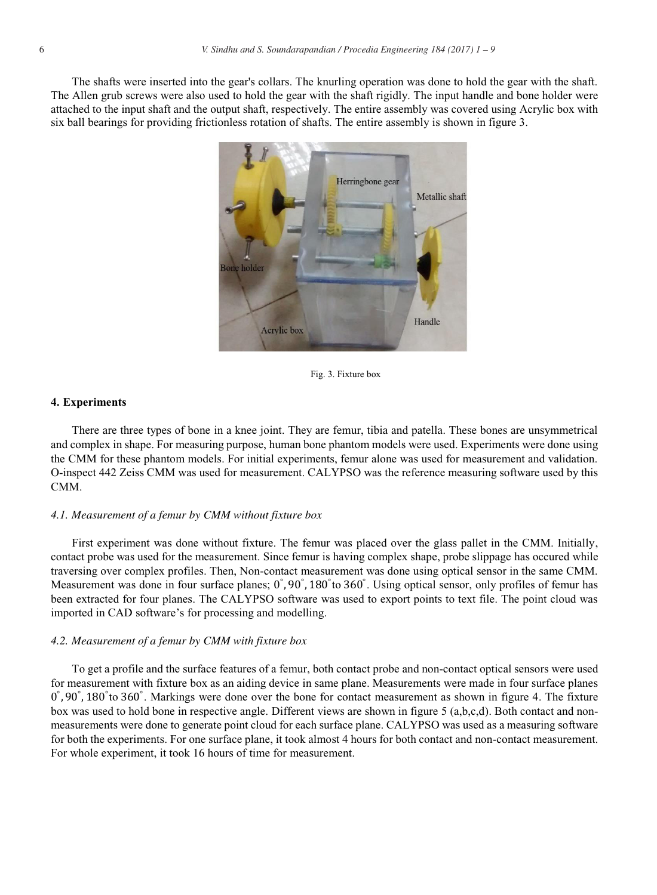The shafts were inserted into the gear's collars. The knurling operation was done to hold the gear with the shaft. The Allen grub screws were also used to hold the gear with the shaft rigidly. The input handle and bone holder were attached to the input shaft and the output shaft, respectively. The entire assembly was covered using Acrylic box with six ball bearings for providing frictionless rotation of shafts. The entire assembly is shown in figure 3.



Fig. 3. Fixture box

# **4. Experiments**

There are three types of bone in a knee joint. They are femur, tibia and patella. These bones are unsymmetrical and complex in shape. For measuring purpose, human bone phantom models were used. Experiments were done using the CMM for these phantom models. For initial experiments, femur alone was used for measurement and validation. O-inspect 442 Zeiss CMM was used for measurement. CALYPSO was the reference measuring software used by this CMM.

# *4.1. Measurement of a femur by CMM without fixture box*

First experiment was done without fixture. The femur was placed over the glass pallet in the CMM. Initially, contact probe was used for the measurement. Since femur is having complex shape, probe slippage has occured while traversing over complex profiles. Then, Non-contact measurement was done using optical sensor in the same CMM. Measurement was done in four surface planes; 0°, 90°, 180° to 360°. Using optical sensor, only profiles of femur has been extracted for four planes. The CALYPSO software was used to export points to text file. The point cloud was imported in CAD software's for processing and modelling.

#### *4.2. Measurement of a femur by CMM with fixture box*

To get a profile and the surface features of a femur, both contact probe and non-contact optical sensors were used for measurement with fixture box as an aiding device in same plane. Measurements were made in four surface planes 0°, 90°, 180° to 360°. Markings were done over the bone for contact measurement as shown in figure 4. The fixture box was used to hold bone in respective angle. Different views are shown in figure 5 (a,b,c,d). Both contact and nonmeasurements were done to generate point cloud for each surface plane. CALYPSO was used as a measuring software for both the experiments. For one surface plane, it took almost 4 hours for both contact and non-contact measurement. For whole experiment, it took 16 hours of time for measurement.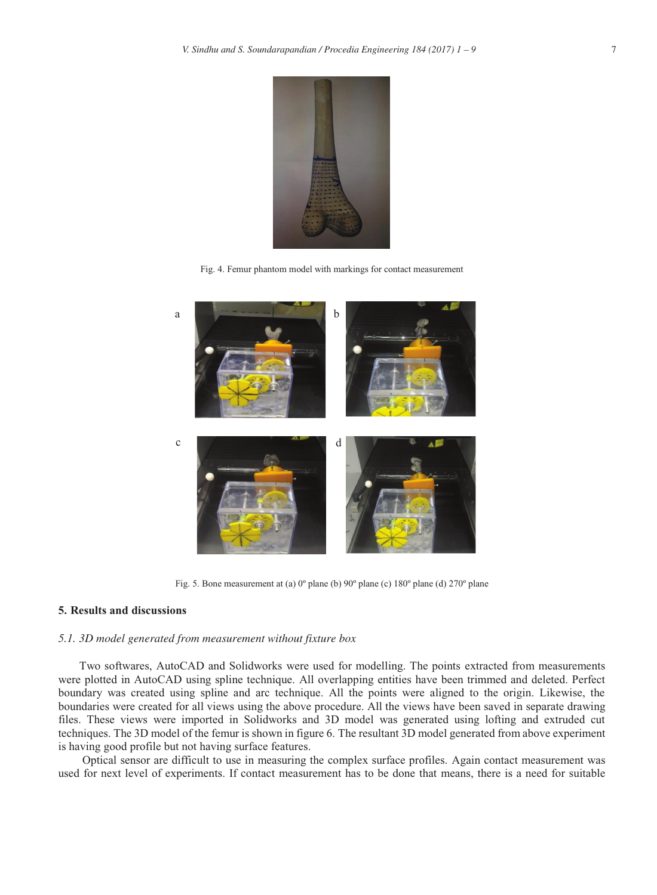

Fig. 4. Femur phantom model with markings for contact measurement



Fig. 5. Bone measurement at (a) 0º plane (b) 90º plane (c) 180º plane (d) 270º plane

# **5. Results and discussions**

# *5.1. 3D model generated from measurement without fixture box*

Two softwares, AutoCAD and Solidworks were used for modelling. The points extracted from measurements were plotted in AutoCAD using spline technique. All overlapping entities have been trimmed and deleted. Perfect boundary was created using spline and arc technique. All the points were aligned to the origin. Likewise, the boundaries were created for all views using the above procedure. All the views have been saved in separate drawing files. These views were imported in Solidworks and 3D model was generated using lofting and extruded cut techniques. The 3D model of the femur is shown in figure 6. The resultant 3D model generated from above experiment is having good profile but not having surface features.

 Optical sensor are difficult to use in measuring the complex surface profiles. Again contact measurement was used for next level of experiments. If contact measurement has to be done that means, there is a need for suitable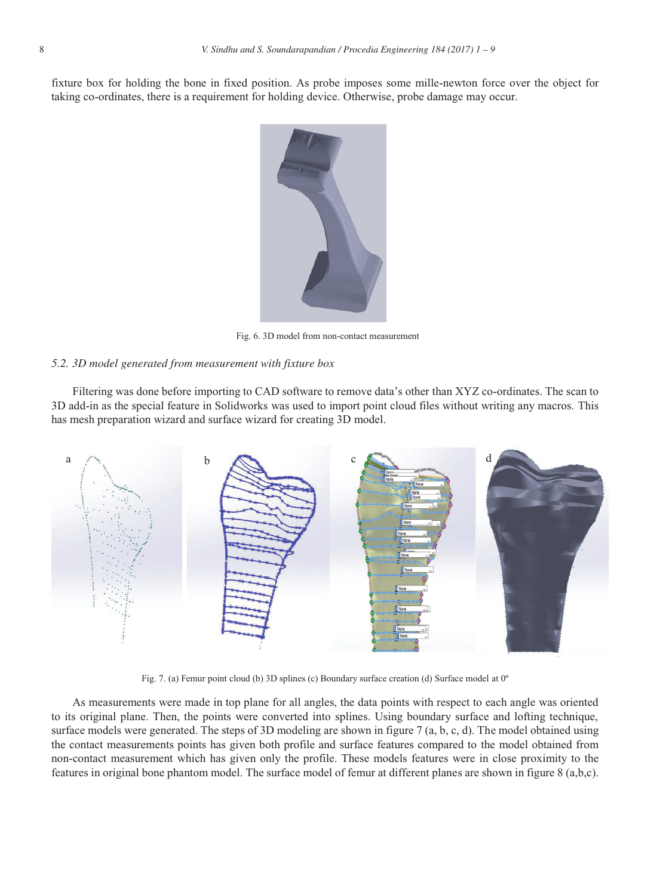fixture box for holding the bone in fixed position. As probe imposes some mille-newton force over the object for taking co-ordinates, there is a requirement for holding device. Otherwise, probe damage may occur.



Fig. 6. 3D model from non-contact measurement

#### *5.2. 3D model generated from measurement with fixture box*

Filtering was done before importing to CAD software to remove data's other than XYZ co-ordinates. The scan to 3D add-in as the special feature in Solidworks was used to import point cloud files without writing any macros. This has mesh preparation wizard and surface wizard for creating 3D model.



Fig. 7. (a) Femur point cloud (b) 3D splines (c) Boundary surface creation (d) Surface model at 0º

As measurements were made in top plane for all angles, the data points with respect to each angle was oriented to its original plane. Then, the points were converted into splines. Using boundary surface and lofting technique, surface models were generated. The steps of 3D modeling are shown in figure 7 (a, b, c, d). The model obtained using the contact measurements points has given both profile and surface features compared to the model obtained from non-contact measurement which has given only the profile. These models features were in close proximity to the features in original bone phantom model. The surface model of femur at different planes are shown in figure 8 (a,b,c).